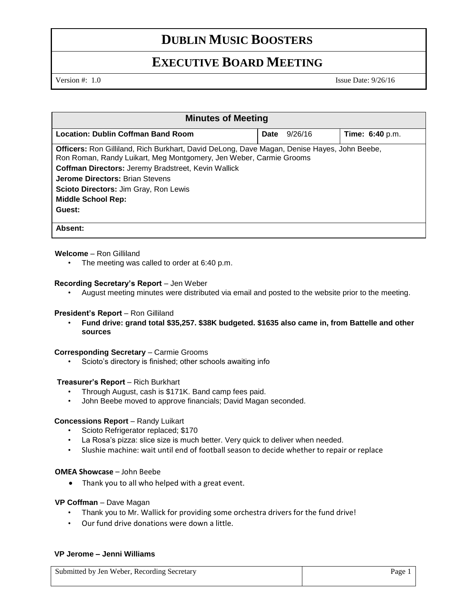# **DUBLIN MUSIC BOOSTERS**

# **EXECUTIVE BOARD MEETING**

Version #: 1.0 Issue Date: 9/26/16

| <b>Minutes of Meeting</b>                                                                                                                                                |      |         |                        |  |
|--------------------------------------------------------------------------------------------------------------------------------------------------------------------------|------|---------|------------------------|--|
| <b>Location: Dublin Coffman Band Room</b>                                                                                                                                | Date | 9/26/16 | <b>Time: 6:40 p.m.</b> |  |
| <b>Officers:</b> Ron Gilliland, Rich Burkhart, David DeLong, Dave Magan, Denise Hayes, John Beebe,<br>Ron Roman, Randy Luikart, Meg Montgomery, Jen Weber, Carmie Grooms |      |         |                        |  |
| <b>Coffman Directors: Jeremy Bradstreet, Kevin Wallick</b>                                                                                                               |      |         |                        |  |
| <b>Jerome Directors: Brian Stevens</b>                                                                                                                                   |      |         |                        |  |
| Scioto Directors: Jim Gray, Ron Lewis                                                                                                                                    |      |         |                        |  |
| <b>Middle School Rep:</b>                                                                                                                                                |      |         |                        |  |
| Guest:                                                                                                                                                                   |      |         |                        |  |
| Absent:                                                                                                                                                                  |      |         |                        |  |

### **Welcome** – Ron Gilliland

• The meeting was called to order at 6:40 p.m.

#### **Recording Secretary's Report** – Jen Weber

• August meeting minutes were distributed via email and posted to the website prior to the meeting.

#### **President's Report - Ron Gilliland**

• **Fund drive: grand total \$35,257. \$38K budgeted. \$1635 also came in, from Battelle and other sources**

#### **Corresponding Secretary - Carmie Grooms**

• Scioto's directory is finished; other schools awaiting info

#### **Treasurer's Report** – Rich Burkhart

- Through August, cash is \$171K. Band camp fees paid.
- John Beebe moved to approve financials; David Magan seconded.

#### **Concessions Report** – Randy Luikart

- Scioto Refrigerator replaced; \$170
- La Rosa's pizza: slice size is much better. Very quick to deliver when needed.
- Slushie machine: wait until end of football season to decide whether to repair or replace

#### **OMEA Showcase** – John Beebe

• Thank you to all who helped with a great event.

#### **VP Coffman** – Dave Magan

- Thank you to Mr. Wallick for providing some orchestra drivers for the fund drive!
- Our fund drive donations were down a little.

## **VP Jerome – Jenni Williams**

| Submitted by Jen Weber, Recording Secretary | Page |
|---------------------------------------------|------|
|                                             |      |